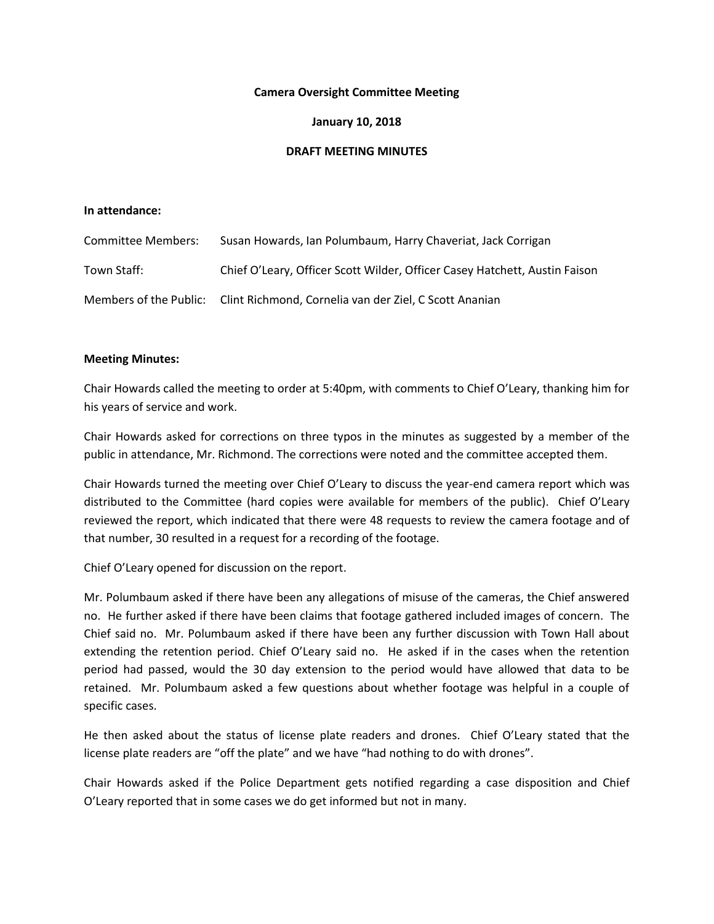### **Camera Oversight Committee Meeting**

# **January 10, 2018**

### **DRAFT MEETING MINUTES**

# **In attendance:**

| Committee Members: | Susan Howards, Ian Polumbaum, Harry Chaveriat, Jack Corrigan                  |
|--------------------|-------------------------------------------------------------------------------|
| Town Staff:        | Chief O'Leary, Officer Scott Wilder, Officer Casey Hatchett, Austin Faison    |
|                    | Members of the Public: Clint Richmond, Cornelia van der Ziel, C Scott Ananian |

#### **Meeting Minutes:**

Chair Howards called the meeting to order at 5:40pm, with comments to Chief O'Leary, thanking him for his years of service and work.

Chair Howards asked for corrections on three typos in the minutes as suggested by a member of the public in attendance, Mr. Richmond. The corrections were noted and the committee accepted them.

Chair Howards turned the meeting over Chief O'Leary to discuss the year-end camera report which was distributed to the Committee (hard copies were available for members of the public). Chief O'Leary reviewed the report, which indicated that there were 48 requests to review the camera footage and of that number, 30 resulted in a request for a recording of the footage.

Chief O'Leary opened for discussion on the report.

Mr. Polumbaum asked if there have been any allegations of misuse of the cameras, the Chief answered no. He further asked if there have been claims that footage gathered included images of concern. The Chief said no. Mr. Polumbaum asked if there have been any further discussion with Town Hall about extending the retention period. Chief O'Leary said no. He asked if in the cases when the retention period had passed, would the 30 day extension to the period would have allowed that data to be retained. Mr. Polumbaum asked a few questions about whether footage was helpful in a couple of specific cases.

He then asked about the status of license plate readers and drones. Chief O'Leary stated that the license plate readers are "off the plate" and we have "had nothing to do with drones".

Chair Howards asked if the Police Department gets notified regarding a case disposition and Chief O'Leary reported that in some cases we do get informed but not in many.